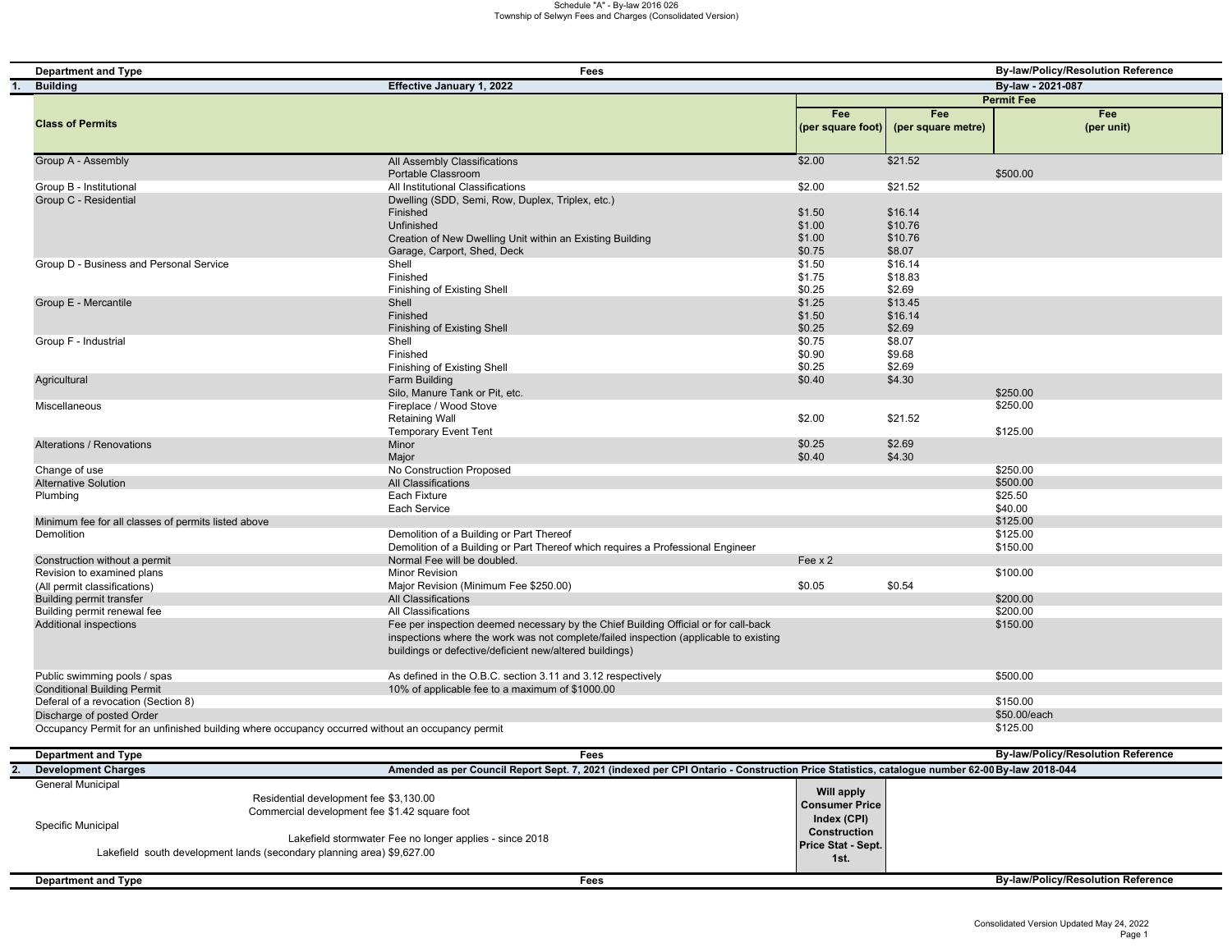| <b>Department and Type</b>                                                                       | Fees                                                                                                                                                                                                                                    |                                      |                                         | <b>By-law/Policy/Resolution Reference</b> |
|--------------------------------------------------------------------------------------------------|-----------------------------------------------------------------------------------------------------------------------------------------------------------------------------------------------------------------------------------------|--------------------------------------|-----------------------------------------|-------------------------------------------|
| <b>Building</b>                                                                                  | Effective January 1, 2022                                                                                                                                                                                                               |                                      |                                         | By-law - 2021-087                         |
|                                                                                                  |                                                                                                                                                                                                                                         |                                      |                                         | <b>Permit Fee</b>                         |
| <b>Class of Permits</b>                                                                          |                                                                                                                                                                                                                                         | Fee<br>(per square foot)             | Fee<br>(per square metre)               | Fee<br>(per unit)                         |
| Group A - Assembly                                                                               | All Assembly Classifications<br>Portable Classroom                                                                                                                                                                                      | \$2.00                               | \$21.52                                 | \$500.00                                  |
| Group B - Institutional                                                                          | All Institutional Classifications                                                                                                                                                                                                       | \$2.00                               | \$21.52                                 |                                           |
| Group C - Residential                                                                            | Dwelling (SDD, Semi, Row, Duplex, Triplex, etc.)<br>Finished<br>Unfinished<br>Creation of New Dwelling Unit within an Existing Building<br>Garage, Carport, Shed, Deck                                                                  | \$1.50<br>\$1.00<br>\$1.00<br>\$0.75 | \$16.14<br>\$10.76<br>\$10.76<br>\$8.07 |                                           |
| Group D - Business and Personal Service                                                          | Shell<br>Finished<br>Finishing of Existing Shell                                                                                                                                                                                        | \$1.50<br>\$1.75<br>\$0.25           | \$16.14<br>\$18.83<br>\$2.69            |                                           |
| Group E - Mercantile                                                                             | Shell<br>Finished<br>Finishing of Existing Shell                                                                                                                                                                                        | \$1.25<br>\$1.50<br>\$0.25           | \$13.45<br>\$16.14<br>\$2.69            |                                           |
| Group F - Industrial                                                                             | Shell<br>Finished<br>Finishing of Existing Shell                                                                                                                                                                                        | \$0.75<br>\$0.90<br>\$0.25           | \$8.07<br>\$9.68<br>\$2.69              |                                           |
| Agricultural                                                                                     | Farm Building<br>Silo, Manure Tank or Pit, etc.                                                                                                                                                                                         | \$0.40                               | \$4.30                                  | \$250.00                                  |
| Miscellaneous                                                                                    | Fireplace / Wood Stove<br>Retaining Wall<br><b>Temporary Event Tent</b>                                                                                                                                                                 | \$2.00                               | \$21.52                                 | \$250.00<br>\$125.00                      |
| Alterations / Renovations                                                                        | Minor<br>Major                                                                                                                                                                                                                          | \$0.25<br>\$0.40                     | \$2.69<br>\$4.30                        |                                           |
| Change of use<br><b>Alternative Solution</b>                                                     | No Construction Proposed<br><b>All Classifications</b>                                                                                                                                                                                  |                                      |                                         | \$250.00<br>\$500.00                      |
| Plumbing                                                                                         | Each Fixture<br>Each Service                                                                                                                                                                                                            |                                      |                                         | \$25.50<br>\$40.00                        |
| Minimum fee for all classes of permits listed above                                              |                                                                                                                                                                                                                                         |                                      |                                         | \$125.00                                  |
| Demolition                                                                                       | Demolition of a Building or Part Thereof<br>Demolition of a Building or Part Thereof which requires a Professional Engineer                                                                                                             |                                      |                                         | \$125.00<br>\$150.00                      |
| Construction without a permit                                                                    | Normal Fee will be doubled.                                                                                                                                                                                                             | Fee $\times$ 2                       |                                         |                                           |
| Revision to examined plans                                                                       | Minor Revision                                                                                                                                                                                                                          |                                      |                                         | \$100.00                                  |
| (All permit classifications)                                                                     | Major Revision (Minimum Fee \$250.00)                                                                                                                                                                                                   | \$0.05                               | \$0.54                                  |                                           |
| Building permit transfer                                                                         | All Classifications                                                                                                                                                                                                                     |                                      |                                         | \$200.00                                  |
| Building permit renewal fee                                                                      | All Classifications                                                                                                                                                                                                                     |                                      |                                         | \$200.00                                  |
| Additional inspections                                                                           | Fee per inspection deemed necessary by the Chief Building Official or for call-back<br>inspections where the work was not complete/failed inspection (applicable to existing<br>buildings or defective/deficient new/altered buildings) |                                      |                                         | \$150.00                                  |
| Public swimming pools / spas                                                                     | As defined in the O.B.C. section 3.11 and 3.12 respectively                                                                                                                                                                             |                                      |                                         | \$500.00                                  |
| <b>Conditional Building Permit</b>                                                               | 10% of applicable fee to a maximum of \$1000.00                                                                                                                                                                                         |                                      |                                         |                                           |
| Deferal of a revocation (Section 8)                                                              |                                                                                                                                                                                                                                         |                                      |                                         | \$150.00                                  |
| Discharge of posted Order                                                                        |                                                                                                                                                                                                                                         |                                      |                                         | \$50.00/each                              |
| Occupancy Permit for an unfinished building where occupancy occurred without an occupancy permit |                                                                                                                                                                                                                                         |                                      |                                         | \$125.00                                  |

| Department and Type                     | Fees                                                                                                                                                                                                                         |                                                                                                         | <b>By-law/Policy/Resolution Reference</b> |
|-----------------------------------------|------------------------------------------------------------------------------------------------------------------------------------------------------------------------------------------------------------------------------|---------------------------------------------------------------------------------------------------------|-------------------------------------------|
| <b>Development Charges</b>              | Amended as per Council Report Sept. 7, 2021 (indexed per CPI Ontario - Construction Price Statistics, catalogue number 62-00 By-law 2018-044                                                                                 |                                                                                                         |                                           |
| General Municipal<br>Specific Municipal | Residential development fee \$3,130.00<br>Commercial development fee \$1.42 square foot<br>Lakefield stormwater Fee no longer applies - since 2018<br>Lakefield south development lands (secondary planning area) \$9,627.00 | Will apply<br><b>Consumer Price</b><br>Index (CPI)<br>Construction<br><b>Price Stat - Sept.</b><br>1st. |                                           |
| Department and Type                     | Fees                                                                                                                                                                                                                         |                                                                                                         | <b>By-law/Policy/Resolution Reference</b> |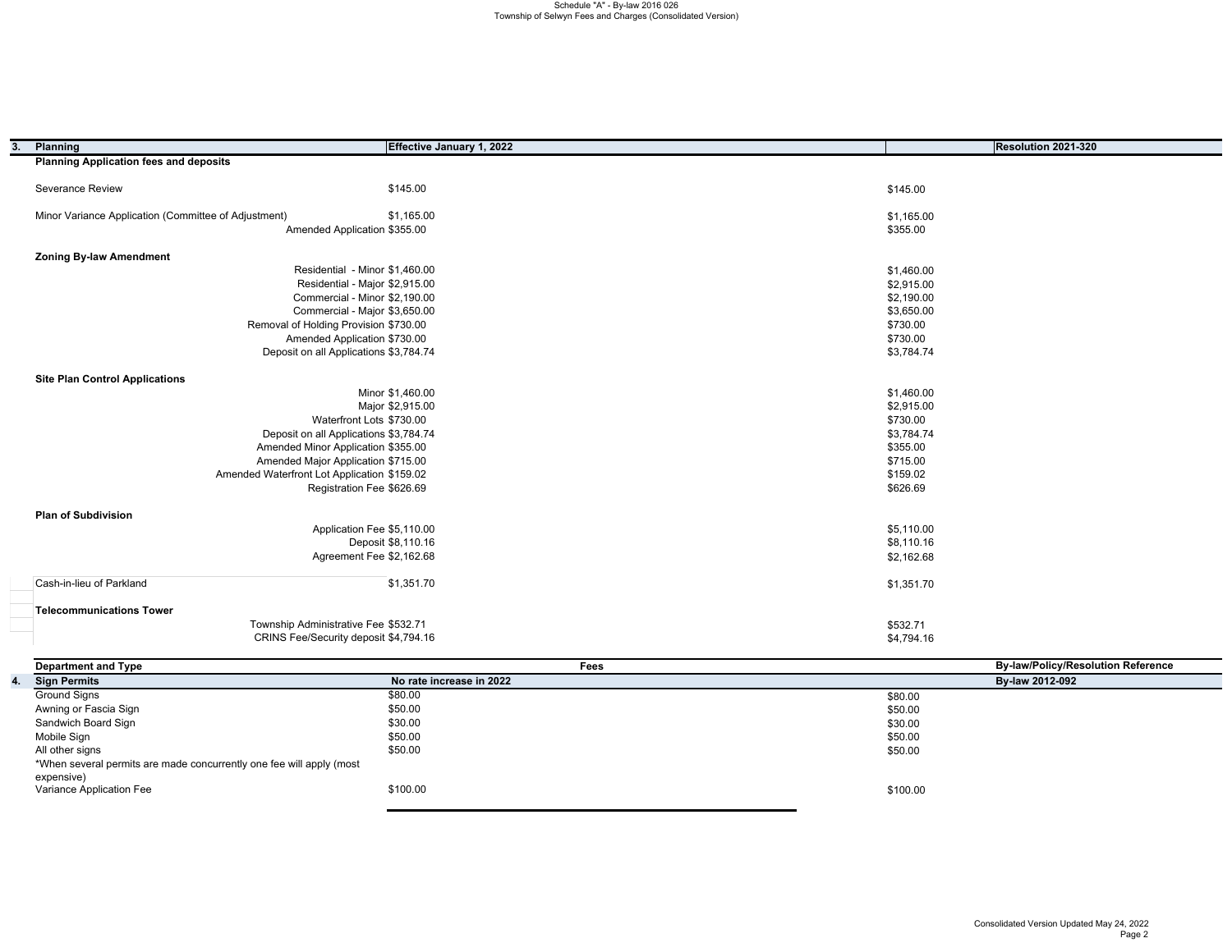| 3. | Planning                                             | Effective January 1, 2022 | Resolution 2021-320      |
|----|------------------------------------------------------|---------------------------|--------------------------|
|    | <b>Planning Application fees and deposits</b>        |                           |                          |
|    |                                                      |                           |                          |
|    | Severance Review                                     | \$145.00                  | \$145.00                 |
|    | Minor Variance Application (Committee of Adjustment) | \$1,165.00                | \$1,165.00               |
|    | Amended Application \$355.00                         |                           | \$355.00                 |
|    |                                                      |                           |                          |
|    | <b>Zoning By-law Amendment</b>                       |                           |                          |
|    | Residential - Minor \$1,460.00                       |                           | \$1,460.00               |
|    | Residential - Major \$2,915.00                       |                           | \$2,915.00               |
|    | Commercial - Minor \$2,190.00                        |                           | \$2,190.00               |
|    | Commercial - Major \$3,650.00                        |                           | \$3,650.00               |
|    | Removal of Holding Provision \$730.00                |                           | \$730.00                 |
|    | Amended Application \$730.00                         |                           | \$730.00                 |
|    | Deposit on all Applications \$3,784.74               |                           | \$3,784.74               |
|    | <b>Site Plan Control Applications</b>                |                           |                          |
|    |                                                      | Minor \$1,460.00          | \$1,460.00               |
|    |                                                      | Major \$2,915.00          | \$2,915.00               |
|    | Waterfront Lots \$730.00                             |                           | \$730.00                 |
|    | Deposit on all Applications \$3,784.74               |                           | \$3,784.74               |
|    | Amended Minor Application \$355.00                   |                           | \$355.00                 |
|    | Amended Major Application \$715.00                   |                           | \$715.00                 |
|    | Amended Waterfront Lot Application \$159.02          |                           | \$159.02                 |
|    | Registration Fee \$626.69                            |                           | \$626.69                 |
|    |                                                      |                           |                          |
|    | <b>Plan of Subdivision</b>                           |                           |                          |
|    | Application Fee \$5,110.00                           |                           | \$5,110.00<br>\$8,110.16 |
|    | Agreement Fee \$2,162.68                             | Deposit \$8,110.16        | \$2,162.68               |
|    |                                                      |                           |                          |
|    | Cash-in-lieu of Parkland                             | \$1,351.70                | \$1,351.70               |
|    |                                                      |                           |                          |
|    | <b>Telecommunications Tower</b>                      |                           |                          |
|    | Township Administrative Fee \$532.71                 |                           | \$532.71                 |
|    | CRINS Fee/Security deposit \$4,794.16                |                           | \$4,794.16               |
|    |                                                      |                           |                          |

| <b>Department and Type</b>                                                         | Fees                     | <b>By-law/Policy/Resolution Reference</b> |
|------------------------------------------------------------------------------------|--------------------------|-------------------------------------------|
| <b>Sign Permits</b>                                                                | No rate increase in 2022 | Bv-law 2012-092                           |
| Ground Signs                                                                       | \$80.00                  | \$80.00                                   |
| Awning or Fascia Sign                                                              | \$50.00                  | \$50.00                                   |
| Sandwich Board Sign                                                                | \$30.00                  | \$30.00                                   |
| Mobile Sign                                                                        | \$50.00                  | \$50.00                                   |
| All other signs                                                                    | \$50.00                  | \$50.00                                   |
| *When several permits are made concurrently one fee will apply (most<br>expensive) |                          |                                           |
| Variance Application Fee                                                           | \$100.00                 | \$100.00                                  |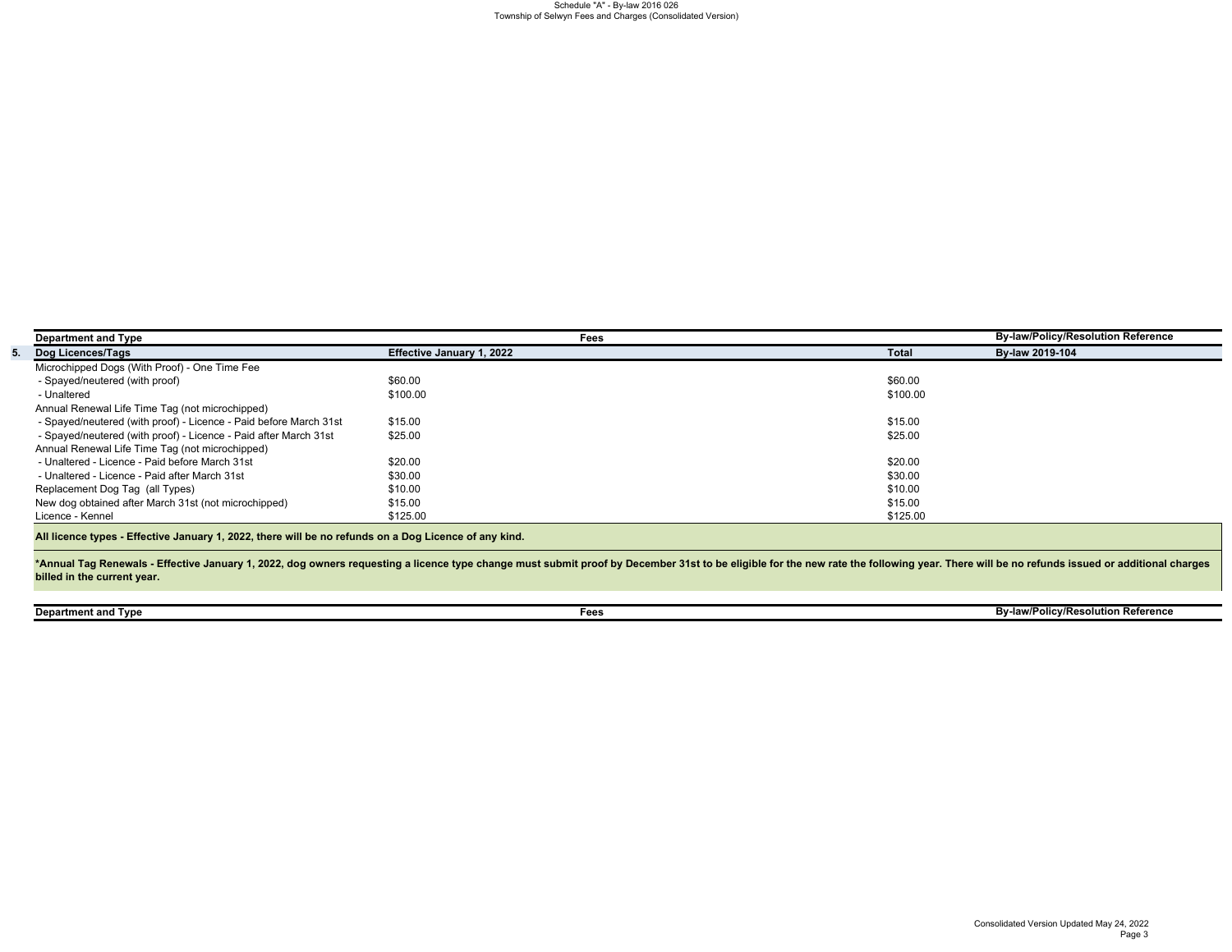| <b>Department and Type</b>                                        | Fees                                                                                                  |  |              | <b>By-law/Policy/Resolution Reference</b> |  |  |
|-------------------------------------------------------------------|-------------------------------------------------------------------------------------------------------|--|--------------|-------------------------------------------|--|--|
| Dog Licences/Tags                                                 | Effective January 1, 2022                                                                             |  | <b>Total</b> | By-law 2019-104                           |  |  |
| Microchipped Dogs (With Proof) - One Time Fee                     |                                                                                                       |  |              |                                           |  |  |
| - Spayed/neutered (with proof)                                    | \$60.00                                                                                               |  | \$60.00      |                                           |  |  |
| - Unaltered                                                       | \$100.00                                                                                              |  | \$100.00     |                                           |  |  |
| Annual Renewal Life Time Tag (not microchipped)                   |                                                                                                       |  |              |                                           |  |  |
| - Spayed/neutered (with proof) - Licence - Paid before March 31st | \$15.00                                                                                               |  | \$15.00      |                                           |  |  |
| - Spayed/neutered (with proof) - Licence - Paid after March 31st  | \$25.00                                                                                               |  | \$25.00      |                                           |  |  |
| Annual Renewal Life Time Tag (not microchipped)                   |                                                                                                       |  |              |                                           |  |  |
| - Unaltered - Licence - Paid before March 31st                    | \$20.00                                                                                               |  | \$20.00      |                                           |  |  |
| - Unaltered - Licence - Paid after March 31st                     | \$30.00                                                                                               |  | \$30.00      |                                           |  |  |
| Replacement Dog Tag (all Types)                                   | \$10.00                                                                                               |  | \$10.00      |                                           |  |  |
| New dog obtained after March 31st (not microchipped)              | \$15.00                                                                                               |  | \$15.00      |                                           |  |  |
| Licence - Kennel                                                  | \$125.00                                                                                              |  | \$125.00     |                                           |  |  |
|                                                                   | All licence types - Effective January 1, 2022, there will be no refunds on a Dog Licence of any kind. |  |              |                                           |  |  |

\*Annual Tag Renewals - Effective January 1, 2022, dog owners requesting a licence type change must submit proof by December 31st to be eligible for the new rate the following year. There will be no refunds issued or additi **billed in the current year.** 

**Department and Type Fees By-law/Policy/Resolution Reference**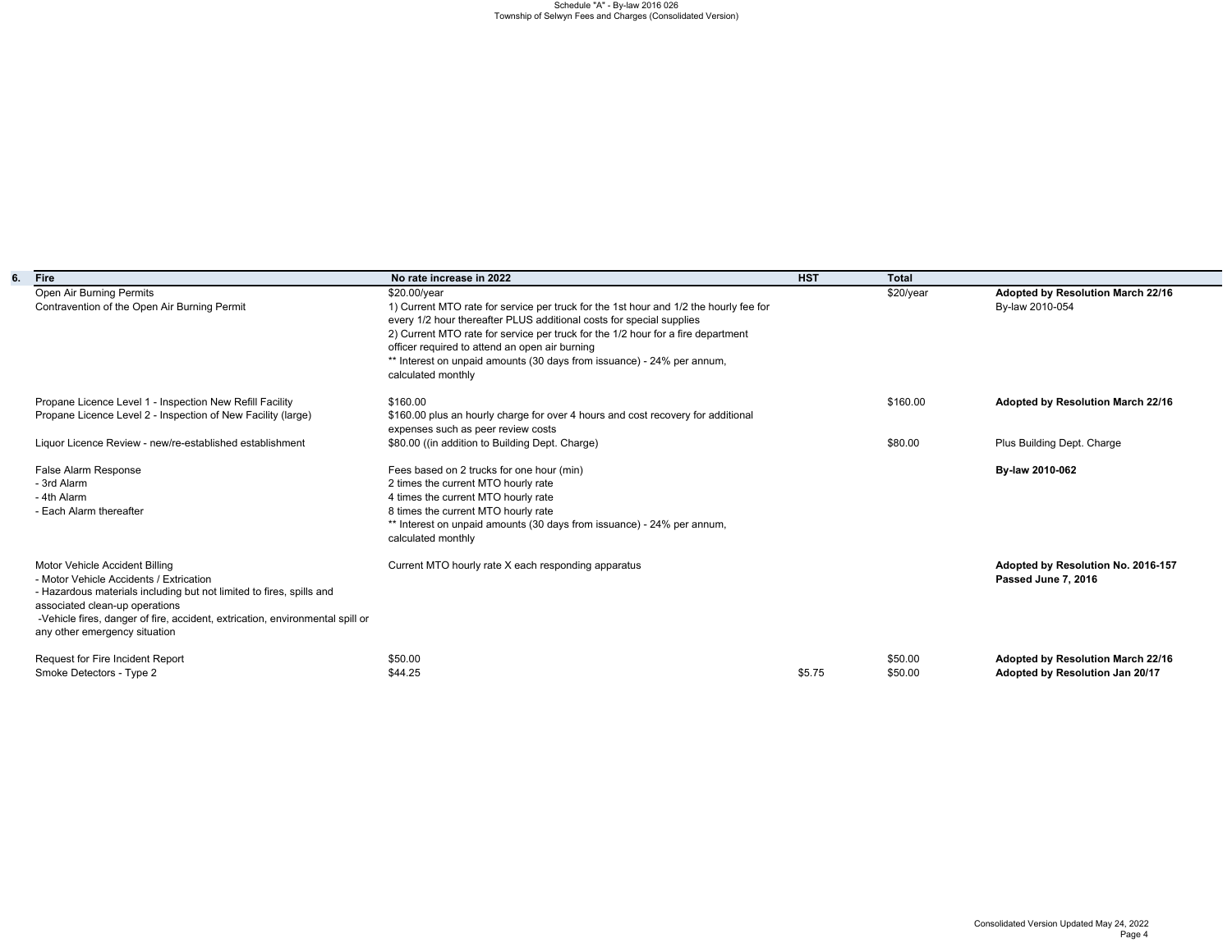| 6. | Fire                                                                                                                                                                                                                                                                                                  | No rate increase in 2022                                                                                                                                                                                                                                                                                                                                                                                            | <b>HST</b> | Total              |                                                                      |
|----|-------------------------------------------------------------------------------------------------------------------------------------------------------------------------------------------------------------------------------------------------------------------------------------------------------|---------------------------------------------------------------------------------------------------------------------------------------------------------------------------------------------------------------------------------------------------------------------------------------------------------------------------------------------------------------------------------------------------------------------|------------|--------------------|----------------------------------------------------------------------|
|    | Open Air Burning Permits<br>Contravention of the Open Air Burning Permit                                                                                                                                                                                                                              | \$20.00/year<br>1) Current MTO rate for service per truck for the 1st hour and 1/2 the hourly fee for<br>every 1/2 hour thereafter PLUS additional costs for special supplies<br>2) Current MTO rate for service per truck for the 1/2 hour for a fire department<br>officer required to attend an open air burning<br>** Interest on unpaid amounts (30 days from issuance) - 24% per annum,<br>calculated monthly |            | \$20/year          | Adopted by Resolution March 22/16<br>By-law 2010-054                 |
|    | Propane Licence Level 1 - Inspection New Refill Facility<br>Propane Licence Level 2 - Inspection of New Facility (large)                                                                                                                                                                              | \$160.00<br>\$160.00 plus an hourly charge for over 4 hours and cost recovery for additional<br>expenses such as peer review costs                                                                                                                                                                                                                                                                                  |            | \$160.00           | Adopted by Resolution March 22/16                                    |
|    | Liquor Licence Review - new/re-established establishment                                                                                                                                                                                                                                              | \$80.00 ((in addition to Building Dept. Charge)                                                                                                                                                                                                                                                                                                                                                                     |            | \$80.00            | Plus Building Dept. Charge                                           |
|    | False Alarm Response<br>- 3rd Alarm<br>- 4th Alarm<br>- Each Alarm thereafter                                                                                                                                                                                                                         | Fees based on 2 trucks for one hour (min)<br>2 times the current MTO hourly rate<br>4 times the current MTO hourly rate<br>8 times the current MTO hourly rate<br>** Interest on unpaid amounts (30 days from issuance) - 24% per annum,<br>calculated monthly                                                                                                                                                      |            |                    | By-law 2010-062                                                      |
|    | Motor Vehicle Accident Billing<br>- Motor Vehicle Accidents / Extrication<br>- Hazardous materials including but not limited to fires, spills and<br>associated clean-up operations<br>-Vehicle fires, danger of fire, accident, extrication, environmental spill or<br>any other emergency situation | Current MTO hourly rate X each responding apparatus                                                                                                                                                                                                                                                                                                                                                                 |            |                    | Adopted by Resolution No. 2016-157<br>Passed June 7, 2016            |
|    | Request for Fire Incident Report<br>Smoke Detectors - Type 2                                                                                                                                                                                                                                          | \$50.00<br>\$44.25                                                                                                                                                                                                                                                                                                                                                                                                  | \$5.75     | \$50.00<br>\$50.00 | Adopted by Resolution March 22/16<br>Adopted by Resolution Jan 20/17 |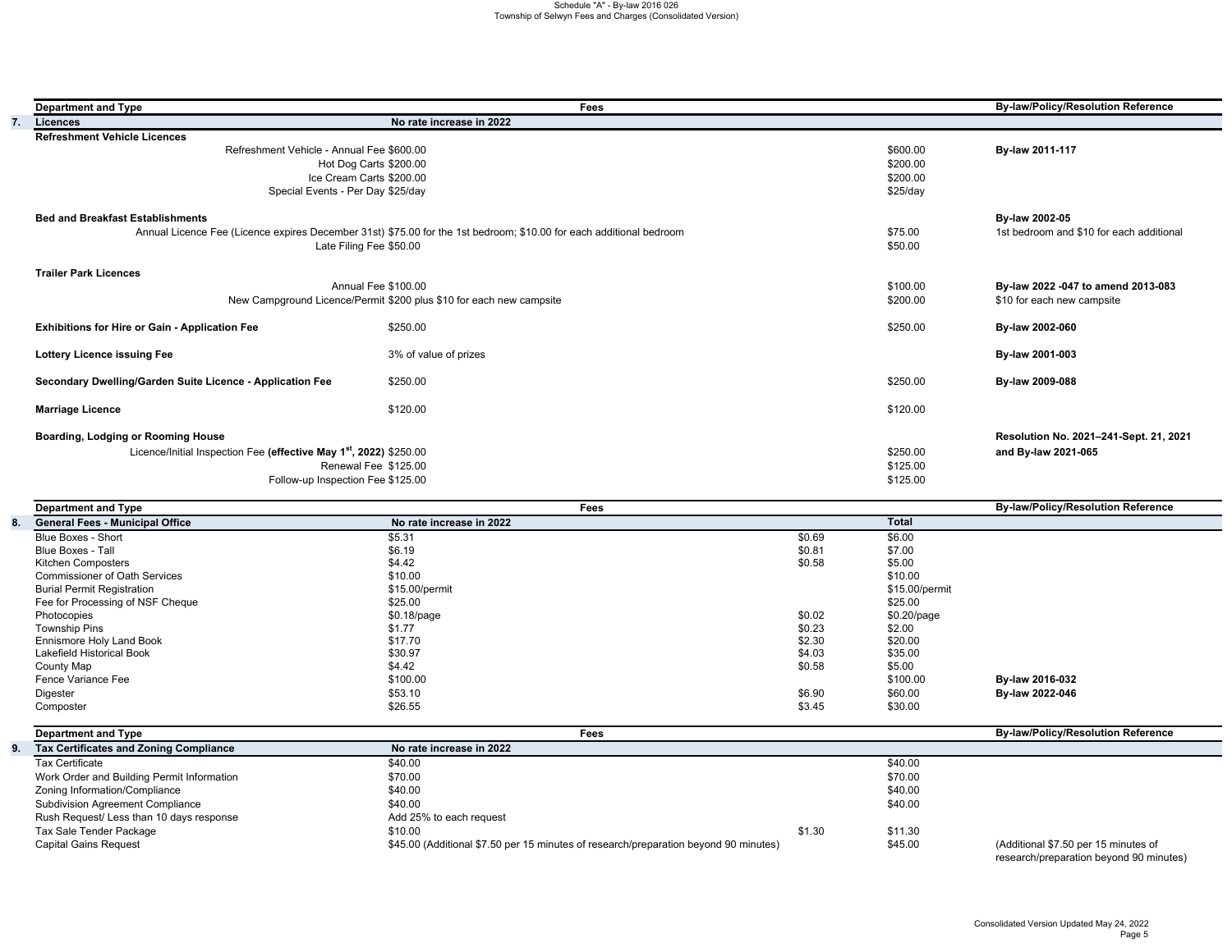| <b>Department and Type</b>                                                     | Fees                                                                                                                |                      | <b>By-law/Policy/Resolution Reference</b> |
|--------------------------------------------------------------------------------|---------------------------------------------------------------------------------------------------------------------|----------------------|-------------------------------------------|
| Licences                                                                       | No rate increase in 2022                                                                                            |                      |                                           |
| <b>Refreshment Vehicle Licences</b>                                            |                                                                                                                     |                      |                                           |
| Refreshment Vehicle - Annual Fee \$600.00                                      |                                                                                                                     | \$600.00             | By-law 2011-117                           |
|                                                                                | Hot Dog Carts \$200.00                                                                                              | \$200.00             |                                           |
| Ice Cream Carts \$200.00                                                       |                                                                                                                     | \$200.00             |                                           |
| Special Events - Per Day \$25/day                                              |                                                                                                                     | $$25$ /day           |                                           |
| <b>Bed and Breakfast Establishments</b>                                        |                                                                                                                     |                      | By-law 2002-05                            |
|                                                                                | Annual Licence Fee (Licence expires December 31st) \$75.00 for the 1st bedroom; \$10.00 for each additional bedroom | \$75.00              | 1st bedroom and \$10 for each additional  |
| Late Filing Fee \$50.00                                                        |                                                                                                                     | \$50.00              |                                           |
|                                                                                |                                                                                                                     |                      |                                           |
| <b>Trailer Park Licences</b>                                                   |                                                                                                                     |                      |                                           |
|                                                                                | Annual Fee \$100.00                                                                                                 | \$100.00             | By-law 2022 -047 to amend 2013-083        |
|                                                                                | New Campground Licence/Permit \$200 plus \$10 for each new campsite                                                 | \$200.00             | \$10 for each new campsite                |
| Exhibitions for Hire or Gain - Application Fee                                 | \$250.00                                                                                                            | \$250.00             | By-law 2002-060                           |
|                                                                                |                                                                                                                     |                      |                                           |
| <b>Lottery Licence issuing Fee</b>                                             | 3% of value of prizes                                                                                               |                      | By-law 2001-003                           |
| Secondary Dwelling/Garden Suite Licence - Application Fee                      | \$250.00                                                                                                            | \$250.00             | By-law 2009-088                           |
|                                                                                |                                                                                                                     |                      |                                           |
| <b>Marriage Licence</b>                                                        | \$120.00                                                                                                            | \$120.00             |                                           |
| Boarding, Lodging or Rooming House                                             |                                                                                                                     |                      | Resolution No. 2021-241-Sept. 21, 2021    |
|                                                                                |                                                                                                                     |                      |                                           |
| Licence/Initial Inspection Fee (effective May 1 <sup>st</sup> , 2022) \$250.00 | Renewal Fee \$125.00                                                                                                | \$250.00<br>\$125.00 | and By-law 2021-065                       |
| Follow-up Inspection Fee \$125.00                                              |                                                                                                                     | \$125.00             |                                           |
|                                                                                |                                                                                                                     |                      |                                           |

| <b>Department and Type</b>             | Fees                     |        |                | By-law/Policy/Resolution Reference |
|----------------------------------------|--------------------------|--------|----------------|------------------------------------|
| <b>General Fees - Municipal Office</b> | No rate increase in 2022 |        | <b>Total</b>   |                                    |
| Blue Boxes - Short                     | \$5.31                   | \$0.69 | \$6.00         |                                    |
| Blue Boxes - Tall                      | \$6.19                   | \$0.81 | \$7.00         |                                    |
| <b>Kitchen Composters</b>              | \$4.42                   | \$0.58 | \$5.00         |                                    |
| <b>Commissioner of Oath Services</b>   | \$10.00                  |        | \$10.00        |                                    |
| <b>Burial Permit Registration</b>      | \$15.00/permit           |        | \$15.00/permit |                                    |
| Fee for Processing of NSF Cheque       | \$25.00                  |        | \$25.00        |                                    |
| Photocopies                            | $$0.18$ /page            | \$0.02 | $$0.20$ /page  |                                    |
| <b>Township Pins</b>                   | \$1.77                   | \$0.23 | \$2.00         |                                    |
| Ennismore Holy Land Book               | \$17.70                  | \$2.30 | \$20.00        |                                    |
| <b>Lakefield Historical Book</b>       | \$30.97                  | \$4.03 | \$35.00        |                                    |
| County Map                             | \$4.42                   | \$0.58 | \$5.00         |                                    |
| Fence Variance Fee                     | \$100.00                 |        | \$100.00       | By-law 2016-032                    |
| Digester                               | \$53.10                  | \$6.90 | \$60.00        | By-law 2022-046                    |
| Composter                              | \$26.55                  | \$3.45 | \$30.00        |                                    |
|                                        |                          |        |                |                                    |

| <b>Department and Type</b>                    | Fees                                                                                 |        |         | <b>By-law/Policy/Resolution Reference</b>                                                                                                                                                                  |
|-----------------------------------------------|--------------------------------------------------------------------------------------|--------|---------|------------------------------------------------------------------------------------------------------------------------------------------------------------------------------------------------------------|
| <b>Tax Certificates and Zoning Compliance</b> | No rate increase in 2022                                                             |        |         |                                                                                                                                                                                                            |
| Tax Certificate                               | \$40.00                                                                              |        | \$40.00 |                                                                                                                                                                                                            |
| Work Order and Building Permit Information    | \$70.00                                                                              |        | \$70.00 |                                                                                                                                                                                                            |
| Zoning Information/Compliance                 | \$40.00                                                                              |        | \$40.00 |                                                                                                                                                                                                            |
| <b>Subdivision Agreement Compliance</b>       | \$40.00                                                                              |        | \$40.00 |                                                                                                                                                                                                            |
| Rush Request/ Less than 10 days response      | Add 25% to each request                                                              |        |         |                                                                                                                                                                                                            |
| Tax Sale Tender Package                       | \$10.00                                                                              | \$1.30 | \$11.30 |                                                                                                                                                                                                            |
| <b>Capital Gains Request</b>                  | \$45.00 (Additional \$7.50 per 15 minutes of research/preparation beyond 90 minutes) |        | \$45.00 | (Additional \$7.50 per 15 minutes of<br>$\mathbf{r}$ , $\mathbf{r}$ , $\mathbf{r}$ , $\mathbf{r}$ , $\mathbf{r}$ , $\mathbf{r}$ , $\mathbf{r}$ , $\mathbf{r}$ , $\mathbf{r}$ , $\mathbf{r}$ , $\mathbf{r}$ |

research/preparation beyond 90 minutes)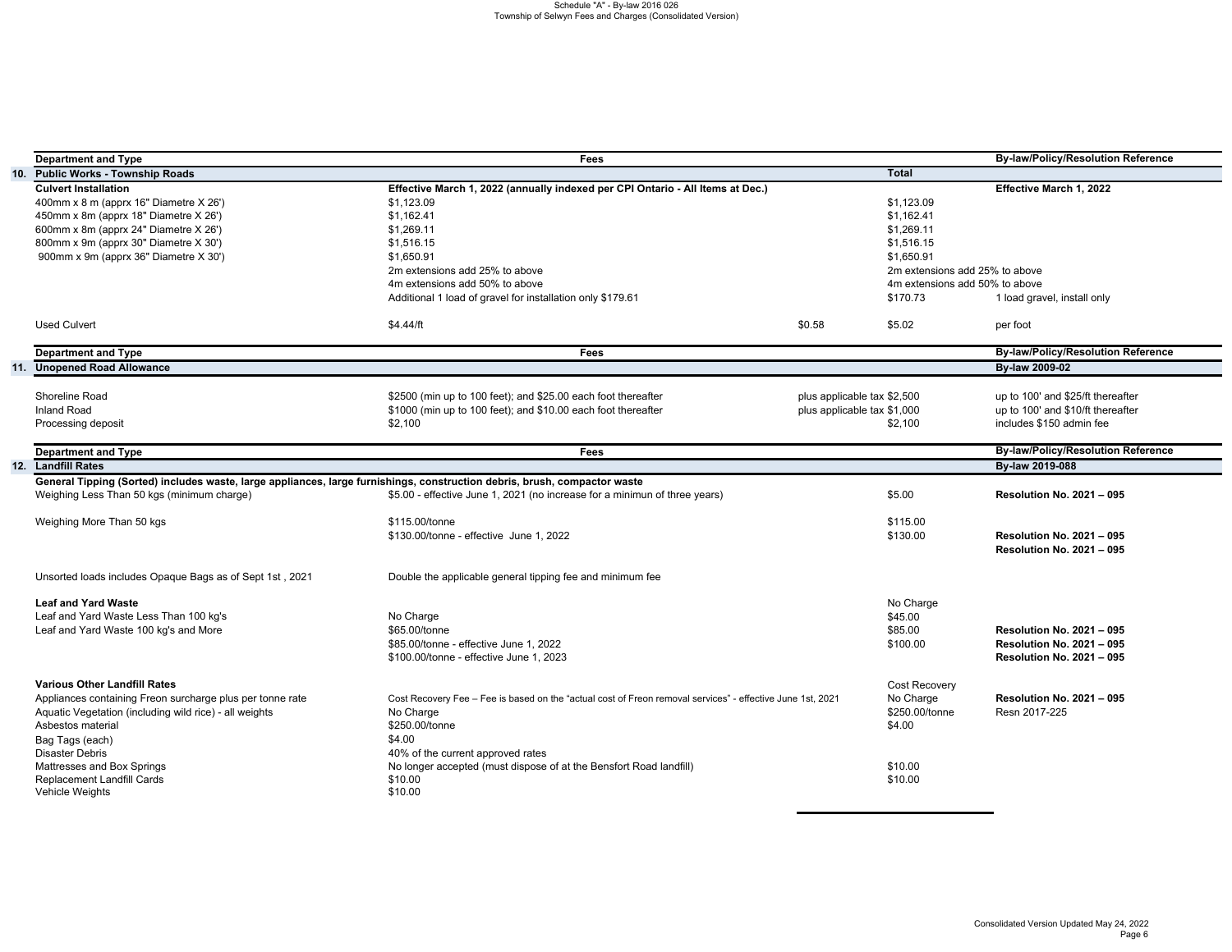|     | <b>Department and Type</b>                                                                                                | Fees                                                                                                       |                             |                                | <b>By-law/Policy/Resolution Reference</b> |
|-----|---------------------------------------------------------------------------------------------------------------------------|------------------------------------------------------------------------------------------------------------|-----------------------------|--------------------------------|-------------------------------------------|
| 10. | <b>Public Works - Township Roads</b>                                                                                      |                                                                                                            |                             | <b>Total</b>                   |                                           |
|     | <b>Culvert Installation</b>                                                                                               | Effective March 1, 2022 (annually indexed per CPI Ontario - All Items at Dec.)                             |                             |                                | Effective March 1, 2022                   |
|     | 400mm x 8 m (apprx 16" Diametre X 26')                                                                                    | \$1,123.09                                                                                                 |                             | \$1,123.09                     |                                           |
|     | 450mm x 8m (apprx 18" Diametre X 26")                                                                                     | \$1,162.41                                                                                                 |                             | \$1,162.41                     |                                           |
|     | 600mm x 8m (apprx 24" Diametre X 26')                                                                                     | \$1.269.11                                                                                                 |                             | \$1.269.11                     |                                           |
|     | 800mm x 9m (apprx 30" Diametre X 30")                                                                                     | \$1,516.15                                                                                                 |                             | \$1,516.15                     |                                           |
|     | 900mm x 9m (apprx 36" Diametre X 30')                                                                                     | \$1,650.91                                                                                                 |                             | \$1,650.91                     |                                           |
|     |                                                                                                                           | 2m extensions add 25% to above                                                                             |                             | 2m extensions add 25% to above |                                           |
|     |                                                                                                                           | 4m extensions add 50% to above                                                                             |                             | 4m extensions add 50% to above |                                           |
|     |                                                                                                                           | Additional 1 load of gravel for installation only \$179.61                                                 |                             | \$170.73                       | 1 load gravel, install only               |
|     | <b>Used Culvert</b>                                                                                                       | \$4.44/ft                                                                                                  | \$0.58                      | \$5.02                         | per foot                                  |
|     | <b>Department and Type</b>                                                                                                | Fees                                                                                                       |                             |                                | <b>By-law/Policy/Resolution Reference</b> |
|     | 11. Unopened Road Allowance                                                                                               |                                                                                                            |                             |                                | By-law 2009-02                            |
|     |                                                                                                                           |                                                                                                            |                             |                                |                                           |
|     | Shoreline Road                                                                                                            | \$2500 (min up to 100 feet); and \$25.00 each foot thereafter                                              | plus applicable tax \$2,500 |                                | up to 100' and \$25/ft thereafter         |
|     | Inland Road                                                                                                               | \$1000 (min up to 100 feet); and \$10.00 each foot thereafter                                              | plus applicable tax \$1,000 |                                | up to 100' and \$10/ft thereafter         |
|     | Processing deposit                                                                                                        | \$2,100                                                                                                    |                             | \$2,100                        | includes \$150 admin fee                  |
|     | <b>Department and Type</b>                                                                                                | Fees                                                                                                       |                             |                                | <b>By-law/Policy/Resolution Reference</b> |
| 12. | <b>Landfill Rates</b>                                                                                                     |                                                                                                            |                             |                                | By-law 2019-088                           |
|     | General Tipping (Sorted) includes waste, large appliances, large furnishings, construction debris, brush, compactor waste |                                                                                                            |                             |                                |                                           |
|     | Weighing Less Than 50 kgs (minimum charge)                                                                                | \$5.00 - effective June 1, 2021 (no increase for a minimun of three years)                                 |                             | \$5.00                         | <b>Resolution No. 2021 - 095</b>          |
|     | Weighing More Than 50 kgs                                                                                                 | \$115.00/tonne                                                                                             |                             | \$115.00                       |                                           |
|     |                                                                                                                           | \$130.00/tonne - effective June 1, 2022                                                                    |                             | \$130.00                       | <b>Resolution No. 2021 - 095</b>          |
|     |                                                                                                                           |                                                                                                            |                             |                                | <b>Resolution No. 2021 - 095</b>          |
|     |                                                                                                                           |                                                                                                            |                             |                                |                                           |
|     | Unsorted loads includes Opaque Bags as of Sept 1st, 2021                                                                  | Double the applicable general tipping fee and minimum fee                                                  |                             |                                |                                           |
|     | <b>Leaf and Yard Waste</b>                                                                                                |                                                                                                            |                             | No Charge                      |                                           |
|     | Leaf and Yard Waste Less Than 100 kg's                                                                                    | No Charge                                                                                                  |                             | \$45.00                        |                                           |
|     | Leaf and Yard Waste 100 kg's and More                                                                                     | \$65.00/tonne                                                                                              |                             | \$85.00                        | <b>Resolution No. 2021 - 095</b>          |
|     |                                                                                                                           | \$85.00/tonne - effective June 1, 2022                                                                     |                             | \$100.00                       | <b>Resolution No. 2021 - 095</b>          |
|     |                                                                                                                           | \$100.00/tonne - effective June 1, 2023                                                                    |                             |                                | <b>Resolution No. 2021 - 095</b>          |
|     |                                                                                                                           |                                                                                                            |                             |                                |                                           |
|     | <b>Various Other Landfill Rates</b>                                                                                       |                                                                                                            |                             | Cost Recovery                  |                                           |
|     | Appliances containing Freon surcharge plus per tonne rate                                                                 | Cost Recovery Fee - Fee is based on the "actual cost of Freon removal services" - effective June 1st, 2021 |                             | No Charge                      | <b>Resolution No. 2021 - 095</b>          |
|     | Aquatic Vegetation (including wild rice) - all weights                                                                    | No Charge                                                                                                  |                             | \$250.00/tonne                 | Resn 2017-225                             |
|     | Asbestos material                                                                                                         | \$250,00/tonne                                                                                             |                             | \$4.00                         |                                           |
|     | Bag Tags (each)                                                                                                           | \$4.00                                                                                                     |                             |                                |                                           |
|     | <b>Disaster Debris</b>                                                                                                    | 40% of the current approved rates                                                                          |                             |                                |                                           |
|     | Mattresses and Box Springs                                                                                                | No longer accepted (must dispose of at the Bensfort Road landfill)                                         |                             | \$10.00                        |                                           |
|     | Replacement Landfill Cards                                                                                                | \$10.00                                                                                                    |                             | \$10.00                        |                                           |
|     | Vehicle Weights                                                                                                           | \$10.00                                                                                                    |                             |                                |                                           |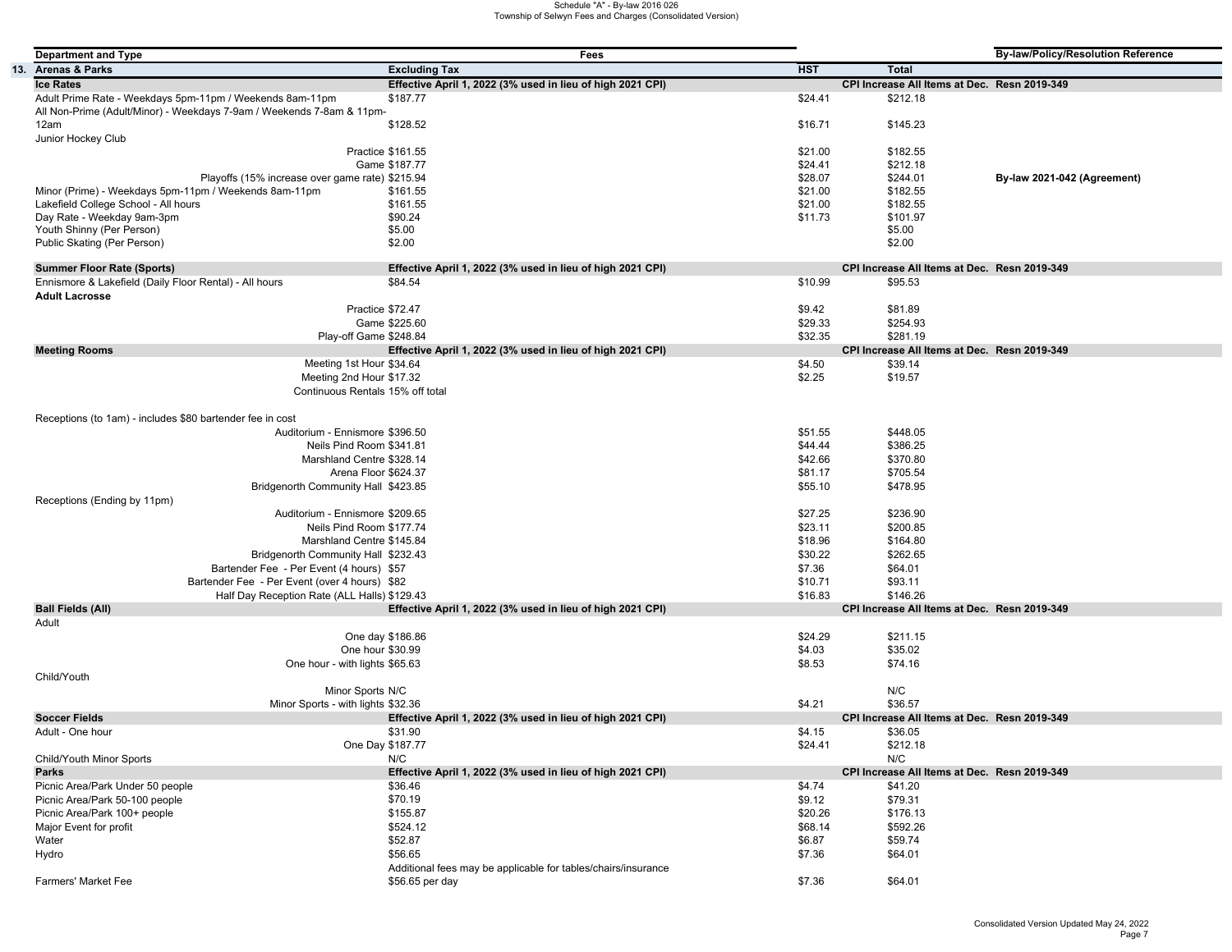| <b>Department and Type</b>                                            |                                                               | Fees |                    |                                              | By-law/Policy/Resolution Reference |
|-----------------------------------------------------------------------|---------------------------------------------------------------|------|--------------------|----------------------------------------------|------------------------------------|
| 13. Arenas & Parks                                                    | <b>Excluding Tax</b>                                          |      | <b>HST</b>         | <b>Total</b>                                 |                                    |
| <b>Ice Rates</b>                                                      | Effective April 1, 2022 (3% used in lieu of high 2021 CPI)    |      |                    | CPI Increase All Items at Dec. Resn 2019-349 |                                    |
| Adult Prime Rate - Weekdays 5pm-11pm / Weekends 8am-11pm              | \$187.77                                                      |      | \$24.41            | \$212.18                                     |                                    |
| All Non-Prime (Adult/Minor) - Weekdays 7-9am / Weekends 7-8am & 11pm- |                                                               |      |                    |                                              |                                    |
| 12am                                                                  | \$128.52                                                      |      | \$16.71            | \$145.23                                     |                                    |
| Junior Hockey Club                                                    |                                                               |      |                    |                                              |                                    |
|                                                                       | Practice \$161.55                                             |      | \$21.00            | \$182.55                                     |                                    |
|                                                                       | Game \$187.77                                                 |      | \$24.41            | \$212.18                                     |                                    |
|                                                                       | Playoffs (15% increase over game rate) \$215.94               |      | \$28.07            | \$244.01                                     | By-law 2021-042 (Agreement)        |
| Minor (Prime) - Weekdays 5pm-11pm / Weekends 8am-11pm                 | \$161.55                                                      |      | \$21.00            | \$182.55                                     |                                    |
| Lakefield College School - All hours<br>Day Rate - Weekday 9am-3pm    | \$161.55<br>\$90.24                                           |      | \$21.00<br>\$11.73 | \$182.55<br>\$101.97                         |                                    |
| Youth Shinny (Per Person)                                             | \$5.00                                                        |      |                    | \$5.00                                       |                                    |
| Public Skating (Per Person)                                           | \$2.00                                                        |      |                    | \$2.00                                       |                                    |
|                                                                       |                                                               |      |                    |                                              |                                    |
| <b>Summer Floor Rate (Sports)</b>                                     | Effective April 1, 2022 (3% used in lieu of high 2021 CPI)    |      |                    | CPI Increase All Items at Dec. Resn 2019-349 |                                    |
| Ennismore & Lakefield (Daily Floor Rental) - All hours                | \$84.54                                                       |      | \$10.99            | \$95.53                                      |                                    |
| <b>Adult Lacrosse</b>                                                 |                                                               |      |                    |                                              |                                    |
|                                                                       | Practice \$72.47                                              |      | \$9.42             | \$81.89                                      |                                    |
|                                                                       | Game \$225.60                                                 |      | \$29.33            | \$254.93                                     |                                    |
|                                                                       | Play-off Game \$248.84                                        |      | \$32.35            | \$281.19                                     |                                    |
| <b>Meeting Rooms</b>                                                  | Effective April 1, 2022 (3% used in lieu of high 2021 CPI)    |      |                    | CPI Increase All Items at Dec. Resn 2019-349 |                                    |
|                                                                       | Meeting 1st Hour \$34.64                                      |      | \$4.50             | \$39.14                                      |                                    |
|                                                                       | Meeting 2nd Hour \$17.32                                      |      | \$2.25             | \$19.57                                      |                                    |
|                                                                       | Continuous Rentals 15% off total                              |      |                    |                                              |                                    |
|                                                                       |                                                               |      |                    |                                              |                                    |
| Receptions (to 1am) - includes \$80 bartender fee in cost             | Auditorium - Ennismore \$396.50                               |      | \$51.55            | \$448.05                                     |                                    |
|                                                                       | Neils Pind Room \$341.81                                      |      | \$44.44            | \$386.25                                     |                                    |
|                                                                       | Marshland Centre \$328.14                                     |      | \$42.66            | \$370.80                                     |                                    |
|                                                                       | Arena Floor \$624.37                                          |      | \$81.17            | \$705.54                                     |                                    |
|                                                                       | Bridgenorth Community Hall \$423.85                           |      | \$55.10            | \$478.95                                     |                                    |
| Receptions (Ending by 11pm)                                           |                                                               |      |                    |                                              |                                    |
|                                                                       | Auditorium - Ennismore \$209.65                               |      | \$27.25            | \$236.90                                     |                                    |
|                                                                       | Neils Pind Room \$177.74                                      |      | \$23.11            | \$200.85                                     |                                    |
|                                                                       | Marshland Centre \$145.84                                     |      | \$18.96            | \$164.80                                     |                                    |
|                                                                       | Bridgenorth Community Hall \$232.43                           |      | \$30.22            | \$262.65                                     |                                    |
|                                                                       | Bartender Fee - Per Event (4 hours) \$57                      |      | \$7.36             | \$64.01                                      |                                    |
|                                                                       | Bartender Fee - Per Event (over 4 hours) \$82                 |      | \$10.71            | \$93.11                                      |                                    |
|                                                                       | Half Day Reception Rate (ALL Halls) \$129.43                  |      | \$16.83            | \$146.26                                     |                                    |
| <b>Ball Fields (All)</b>                                              | Effective April 1, 2022 (3% used in lieu of high 2021 CPI)    |      |                    | CPI Increase All Items at Dec. Resn 2019-349 |                                    |
| Adult                                                                 |                                                               |      |                    |                                              |                                    |
|                                                                       | One day \$186.86                                              |      | \$24.29            | \$211.15                                     |                                    |
|                                                                       | One hour \$30.99                                              |      | \$4.03             | \$35.02                                      |                                    |
|                                                                       | One hour - with lights \$65.63                                |      | \$8.53             | \$74.16                                      |                                    |
| Child/Youth                                                           | Minor Sports N/C                                              |      |                    | N/C                                          |                                    |
|                                                                       | Minor Sports - with lights \$32.36                            |      | \$4.21             | \$36.57                                      |                                    |
| <b>Soccer Fields</b>                                                  | Effective April 1, 2022 (3% used in lieu of high 2021 CPI)    |      |                    | CPI Increase All Items at Dec. Resn 2019-349 |                                    |
| Adult - One hour                                                      | \$31.90                                                       |      | \$4.15             | \$36.05                                      |                                    |
|                                                                       | One Day \$187.77                                              |      | \$24.41            | \$212.18                                     |                                    |
| Child/Youth Minor Sports                                              | N/C                                                           |      |                    | N/C                                          |                                    |
| <b>Parks</b>                                                          | Effective April 1, 2022 (3% used in lieu of high 2021 CPI)    |      |                    | CPI Increase All Items at Dec. Resn 2019-349 |                                    |
| Picnic Area/Park Under 50 people                                      | \$36.46                                                       |      | \$4.74             | \$41.20                                      |                                    |
| Picnic Area/Park 50-100 people                                        | \$70.19                                                       |      | \$9.12             | \$79.31                                      |                                    |
| Picnic Area/Park 100+ people                                          | \$155.87                                                      |      | \$20.26            | \$176.13                                     |                                    |
| Major Event for profit                                                | \$524.12                                                      |      | \$68.14            | \$592.26                                     |                                    |
| Water                                                                 | \$52.87                                                       |      | \$6.87             | \$59.74                                      |                                    |
| Hydro                                                                 | \$56.65                                                       |      | \$7.36             | \$64.01                                      |                                    |
|                                                                       | Additional fees may be applicable for tables/chairs/insurance |      |                    |                                              |                                    |
| Farmers' Market Fee                                                   | \$56.65 per day                                               |      | \$7.36             | \$64.01                                      |                                    |